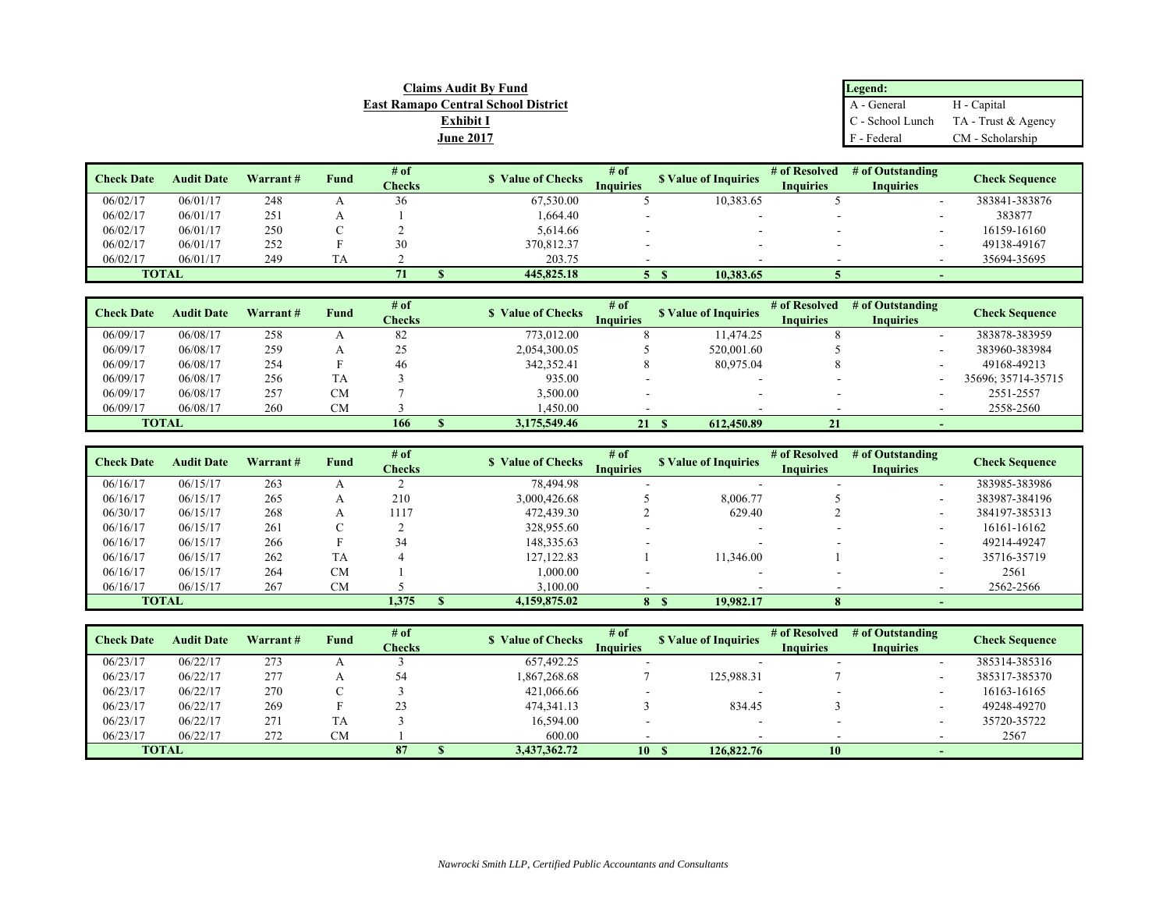| <b>Claims Audit By Fund</b>                | Legend:          |                     |
|--------------------------------------------|------------------|---------------------|
| <b>East Ramapo Central School District</b> | A - General      | H - Capital         |
| <b>Exhibit 1</b>                           | C - School Lunch | TA - Trust & Agency |
| <b>June 2017</b>                           | F<br>- Federal   | CM - Scholarship    |

| <b>Check Date</b> | <b>Audit Date</b> | Warrant # | <b>Fund</b> | $#$ of        | <b>S</b> Value of Checks | # of             | <b>S</b> Value of Inquiries | # of Resolved    | # of Outstanding | Check Sequence |
|-------------------|-------------------|-----------|-------------|---------------|--------------------------|------------------|-----------------------------|------------------|------------------|----------------|
|                   |                   |           |             | <b>Checks</b> |                          | <b>Inquiries</b> |                             | <b>Inquiries</b> | <b>Inquiries</b> |                |
| 06/02/17          | 06/01/17          | 248       |             |               | 67,530.00                |                  | 10,383.65                   |                  |                  | 383841-383876  |
| 06/02/17          | 06/01/17          | 251       |             |               | 1,664.40                 |                  |                             |                  | -                | 383877         |
| 06/02/17          | 06/01/17          | 250       |             |               | 5,614.66                 |                  |                             |                  | -                | 16159-16160    |
| 06/02/17          | 06/01/17          | 252       |             | 30            | 370,812.37               |                  |                             |                  | -                | 49138-49167    |
| 06/02/17          | 06/01/17          | 249       |             |               | 203.75                   |                  |                             |                  |                  | 35694-35695    |
| <b>TOTAL</b>      |                   |           |             |               | 445,825.18               |                  | 10,383.65                   |                  |                  |                |

| <b>Check Date</b> | <b>Audit Date</b> | Warrant# | Fund      | # of   | <b>S</b> Value of Checks | # of             | <b>\$</b> Value of Inquiries | # of Resolved    | # of Outstanding | <b>Check Sequence</b> |
|-------------------|-------------------|----------|-----------|--------|--------------------------|------------------|------------------------------|------------------|------------------|-----------------------|
|                   |                   |          |           | Checks |                          | <b>Inquiries</b> |                              | <b>Inquiries</b> | <b>Inquiries</b> |                       |
| 06/09/17          | 06/08/17          | 258      |           | 82     | 773,012.00               |                  | 11.474.25                    |                  |                  | 383878-383959         |
| 06/09/17          | 06/08/17          | 259      |           | 25     | 2,054,300.05             |                  | 520,001.60                   |                  |                  | 383960-383984         |
| 06/09/17          | 06/08/17          | 254      |           | 46     | 342,352.41               |                  | 80,975.04                    |                  |                  | 49168-49213           |
| 06/09/17          | 06/08/17          | 256      | TA        |        | 935.00                   |                  |                              |                  |                  | 35696: 35714-35715    |
| 06/09/17          | 06/08/17          | 257      | <b>CM</b> |        | 3.500.00                 |                  |                              |                  |                  | 2551-2557             |
| 06/09/17          | 06/08/17          | 260      | CМ        |        | 1.450.00                 |                  |                              |                  | -                | 2558-2560             |
| <b>TOTAL</b>      |                   |          |           | 166    | 3,175,549.46             | 21               | 612,450.89                   | 21               |                  |                       |

| <b>Check Date</b> | <b>Audit Date</b> | Warrant# | Fund      | # of<br><b>Checks</b> | <b>S</b> Value of Checks | # of<br><b>Inquiries</b> | <b>S</b> Value of Inquiries | # of Resolved<br><b>Inquiries</b> | # of Outstanding<br><b>Inquiries</b> | Check Sequence |
|-------------------|-------------------|----------|-----------|-----------------------|--------------------------|--------------------------|-----------------------------|-----------------------------------|--------------------------------------|----------------|
| 06/16/17          | 06/15/17          | 263      |           |                       | 78,494.98                |                          |                             |                                   | -                                    | 383985-383986  |
| 06/16/17          | 06/15/17          | 265      |           | 210                   | 3,000,426.68             |                          | 8,006.77                    |                                   | -                                    | 383987-384196  |
| 06/30/17          | 06/15/17          | 268      |           | 1117                  | 472,439.30               |                          | 629.40                      |                                   |                                      | 384197-385313  |
| 06/16/17          | 06/15/17          | 261      |           |                       | 328,955.60               |                          |                             |                                   | -                                    | 16161-16162    |
| 06/16/17          | 06/15/17          | 266      |           | 34                    | 148,335.63               |                          |                             |                                   |                                      | 49214-49247    |
| 06/16/17          | 06/15/17          | 262      | <b>TA</b> |                       | 127, 122.83              |                          | 11,346.00                   |                                   |                                      | 35716-35719    |
| 06/16/17          | 06/15/17          | 264      | <b>CM</b> |                       | 1.000.00                 |                          |                             |                                   |                                      | 2561           |
| 06/16/17          | 06/15/17          | 267      | <b>CM</b> |                       | 3,100.00                 |                          |                             |                                   |                                      | 2562-2566      |
|                   | <b>TOTAL</b>      |          |           | 1,375                 | 4,159,875.02             | 8                        | 19,982.17                   |                                   |                                      |                |

| <b>Check Date</b> | <b>Audit Date</b> | Warrant# | Fund      | # of<br><b>Checks</b> | <b>S</b> Value of Checks | # of<br><b>Inquiries</b> | <b>S</b> Value of Inquiries | # of Resolved<br><b>Inquiries</b> | # of Outstanding<br><b>Inquiries</b> | <b>Check Sequence</b> |
|-------------------|-------------------|----------|-----------|-----------------------|--------------------------|--------------------------|-----------------------------|-----------------------------------|--------------------------------------|-----------------------|
| 06/23/17          | 06/22/17          | 273      |           |                       | 657,492.25               |                          |                             |                                   |                                      | 385314-385316         |
| 06/23/17          | 06/22/17          | 277      |           | 54                    | 1.867.268.68             |                          | 125,988.31                  |                                   |                                      | 385317-385370         |
| 06/23/17          | 06/22/17          | 270      |           |                       | 421,066.66               |                          | ۰                           |                                   |                                      | 16163-16165           |
| 06/23/17          | 06/22/17          | 269      |           |                       | 474, 341. 13             |                          | 834.45                      |                                   |                                      | 49248-49270           |
| 06/23/17          | 06/22/17          | 271      | TA        |                       | 16,594.00                |                          | -                           |                                   |                                      | 35720-35722           |
| 06/23/17          | 06/22/17          | 272      | <b>CM</b> |                       | 600.00                   |                          |                             |                                   |                                      | 2567                  |
| <b>TOTAL</b>      |                   |          |           | 87                    | 3.437.362.72             | 10S                      | 126,822.76                  | 10                                |                                      |                       |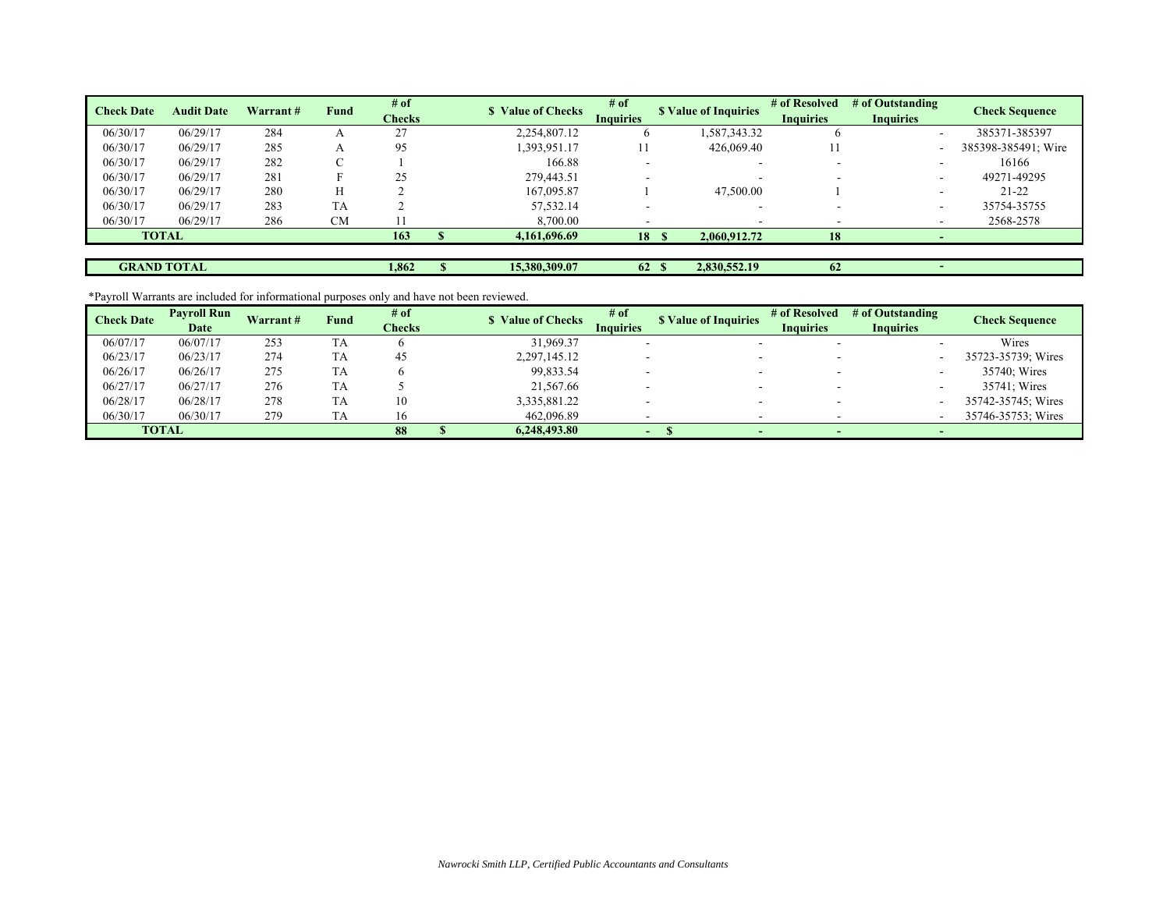| <b>Check Date</b> | <b>Audit Date</b>  | Warrant # | <b>Fund</b> | # of<br><b>Checks</b> | <b>S</b> Value of Checks | $#$ of<br><b>Inquiries</b> |       | <b>S</b> Value of Inquiries | # of Resolved<br><b>Inquiries</b> | # of Outstanding<br><b>Inquiries</b> | <b>Check Sequence</b> |
|-------------------|--------------------|-----------|-------------|-----------------------|--------------------------|----------------------------|-------|-----------------------------|-----------------------------------|--------------------------------------|-----------------------|
| 06/30/17          | 06/29/17           | 284       |             | 27<br>ر ک             | 2,254,807.12             |                            |       | 1,587,343.32                | <sub>0</sub>                      | $\overline{\phantom{a}}$             | 385371-385397         |
| 06/30/17          | 06/29/17           | 285       | А           | 95                    | 1,393,951.17             |                            |       | 426,069.40                  | 11                                |                                      | 385398-385491; Wire   |
| 06/30/17          | 06/29/17           | 282       |             |                       | 166.88                   |                            |       | ۰                           |                                   |                                      | 16166                 |
| 06/30/17          | 06/29/17           | 281       |             | 25                    | 279,443.51               |                            |       | ۰                           |                                   |                                      | 49271-49295           |
| 06/30/17          | 06/29/17           | 280       |             |                       | 167,095.87               |                            |       | 47,500.00                   |                                   |                                      | $21 - 22$             |
| 06/30/17          | 06/29/17           | 283       | <b>TA</b>   |                       | 57,532.14                |                            |       | -                           |                                   |                                      | 35754-35755           |
| 06/30/17          | 06/29/17           | 286       | <b>CM</b>   |                       | 8,700.00                 |                            |       |                             |                                   |                                      | 2568-2578             |
|                   | <b>TOTAL</b>       |           |             | 163                   | 4,161,696.69             |                            | 18S   | 2,060,912.72                | 18                                |                                      |                       |
|                   |                    |           |             |                       |                          |                            |       |                             |                                   |                                      |                       |
|                   | <b>GRAND TOTAL</b> |           |             | 1,862                 | 15.380.309.07            |                            | 62 \$ | 2,830,552.19                | 62                                |                                      |                       |

\*Payroll Warrants are included for informational purposes only and have not been reviewed.

| <b>Check Date</b> | <b>Payroll Run</b><br>Date | <b>Warrant#</b> | Fund      | # of<br><b>Checks</b> | <b>S</b> Value of Checks | # of<br><b>Inquiries</b> | <b>S</b> Value of Inquiries | # of Resolved<br><b>Inquiries</b> | # of Outstanding<br><b>Inquiries</b> | Check Sequence     |
|-------------------|----------------------------|-----------------|-----------|-----------------------|--------------------------|--------------------------|-----------------------------|-----------------------------------|--------------------------------------|--------------------|
| 06/07/17          | 06/07/17                   | 253             | ГA        |                       | 31,969.37                |                          |                             |                                   |                                      | Wires              |
| 06/23/17          | 06/23/17                   | 274             | TA        | 45                    | 2,297,145.12             |                          |                             |                                   |                                      | 35723-35739; Wires |
| 06/26/17          | 06/26/17                   | 275             | <b>TA</b> |                       | 99.833.54                |                          |                             |                                   |                                      | 35740: Wires       |
| 06/27/17          | 06/27/17                   | 276             | TA        |                       | 21,567.66                |                          |                             |                                   |                                      | 35741: Wires       |
| 06/28/17          | 06/28/17                   | 278             | <b>TA</b> | 10                    | 3,335,881.22             |                          |                             |                                   |                                      | 35742-35745; Wires |
| 06/30/17          | 06/30/17                   | 279             | TA        | 16                    | 462,096.89               |                          |                             |                                   |                                      | 35746-35753; Wires |
|                   | <b>TOTAL</b>               |                 |           | 88                    | 6.248.493.80             | -                        |                             |                                   |                                      |                    |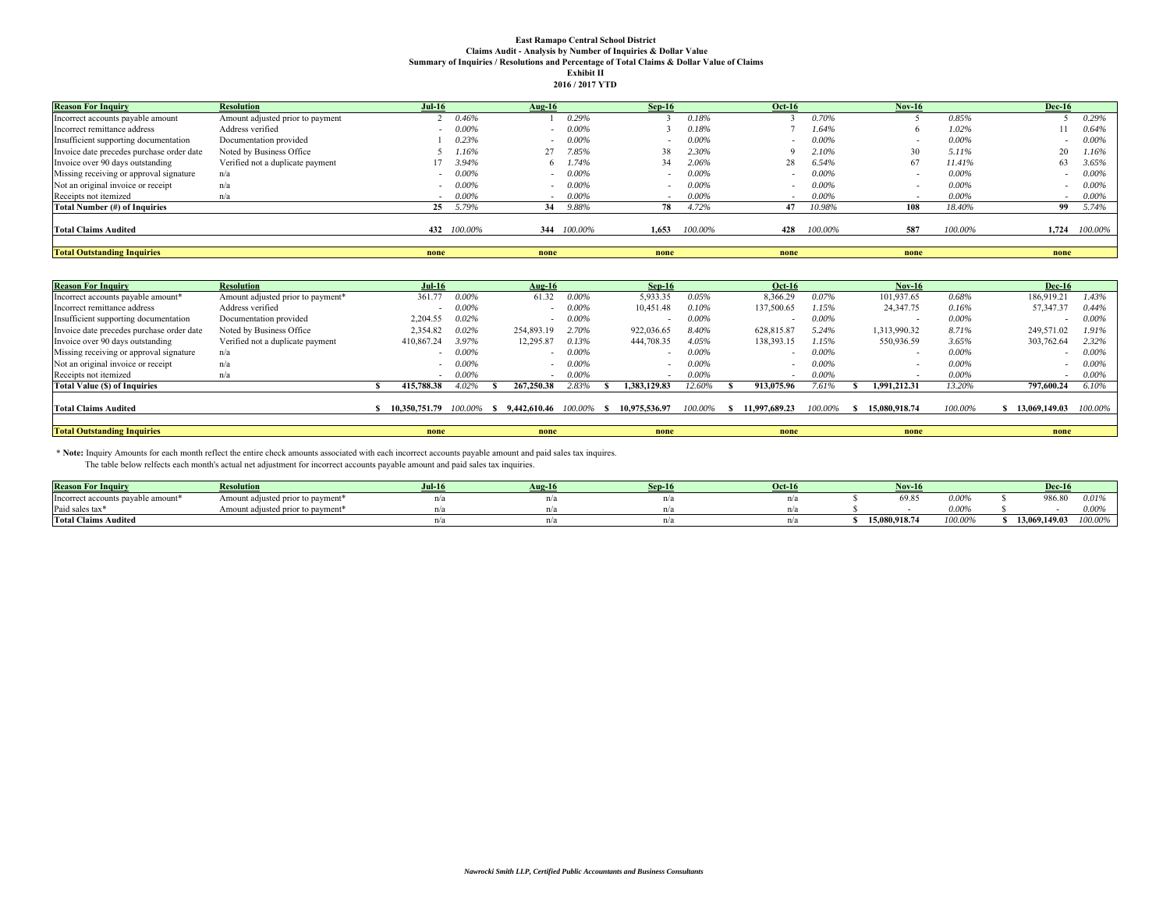## **East Ramapo Central School District Claims Audit - Analysis by Number of Inquiries & Dollar Value Summary of Inquiries / Resolutions and Percentage of Total Claims & Dollar Value of Claims Exhibit II**

|  | 2016 / 2017 YTD |
|--|-----------------|

| <b>Reason For Inquiry</b>                 | <b>Resolution</b>                | $Jul-16$ |             | Aug-16 |             | $Sep-16$ |          | <b>Oct-16</b>  |          | Nov-16 |          | <b>Dec-16</b> |          |
|-------------------------------------------|----------------------------------|----------|-------------|--------|-------------|----------|----------|----------------|----------|--------|----------|---------------|----------|
| Incorrect accounts payable amount         | Amount adjusted prior to payment |          | 0.46%       |        | 0.29%       |          | 0.18%    |                | 0.70%    |        | 0.85%    |               | 0.29%    |
| Incorrect remittance address              | Address verified                 |          | $0.00\%$    | $\sim$ | 0.00%       |          | 0.18%    |                | 1.64%    |        | 1.02%    |               | 0.64%    |
| Insufficient supporting documentation     | Documentation provided           |          | 0.23%       | $\sim$ | $0.00\%$    |          | $0.00\%$ | $\blacksquare$ | $0.00\%$ |        | $0.00\%$ |               | $0.00\%$ |
| Invoice date precedes purchase order date | Noted by Business Office         |          | 1.16%       |        | 7.85%       | 38       | 2.30%    |                | 2.10%    | 30     | 5.11%    | 20            | 1.16%    |
| Invoice over 90 days outstanding          | Verified not a duplicate payment |          | 3.94%       | 6      | .74%        | 34       | 2.06%    | 28             | 6.54%    | 67     | 11.41%   | 63            | 3.65%    |
| Missing receiving or approval signature   | n/a                              |          | $0.00\%$    |        | $0.00\%$    |          | $0.00\%$ |                | $0.00\%$ |        | $0.00\%$ |               | $0.00\%$ |
| Not an original invoice or receipt        | n/a                              |          | $0.00\%$    |        | 0.00%       |          | $0.00\%$ |                | $0.00\%$ |        | $0.00\%$ |               | $0.00\%$ |
| Receipts not itemized                     | n/a                              | . .      | $0.00\%$    | $\sim$ | $0.00\%$    |          | $0.00\%$ | $\sim$         | $0.00\%$ |        | $0.00\%$ | $\sim$        | $0.00\%$ |
| Total Number (#) of Inquiries             |                                  | 25       | 5.79%       | 34     | 9.88%       | 78       | 4.72%    |                | 10.98%   | 108    | 18.40%   | 99            | 5.74%    |
| <b>Total Claims Audited</b>               |                                  |          | 432 100,00% |        | 344 100.00% | 1.653    | 100.00%  | 428            | 100.00%  | 587    | 100.00%  | 1.724         | 100.00%  |
| <b>Total Outstanding Inquiries</b>        |                                  | none     |             | none   |             | none     |          | none           |          | none   |          | none          |          |

| <b>Reason For Inquiry</b>                 | <b>Resolution</b>                 | <b>Jul-16</b> |          | Aug-16                     |         | $Sep-16$                 |          |              | <b>Oct-16</b> |          | $Nov-16$      |          | <b>Dec-16</b> |          |
|-------------------------------------------|-----------------------------------|---------------|----------|----------------------------|---------|--------------------------|----------|--------------|---------------|----------|---------------|----------|---------------|----------|
| Incorrect accounts payable amount*        | Amount adjusted prior to payment* | 361.77        | $0.00\%$ | 61.32                      | 0.00%   | 5,933.35                 | 0.05%    |              | 8,366.29      | 0.07%    | 101,937.65    | 0.68%    | 186,919.21    | 1.43%    |
| Incorrect remittance address              | Address verified                  |               | $0.00\%$ |                            | 0.00%   | 10,451.48                | 0.10%    |              | 137,500.65    | 1.15%    | 24,347.75     | 0.16%    | 57,347.37     | 0.44%    |
| Insufficient supporting documentation     | Documentation provided            | 2.204.55      | 0.02%    |                            | 0.00%   |                          | $0.00\%$ |              |               | 0.00%    |               | $0.00\%$ |               | $0.00\%$ |
| Invoice date precedes purchase order date | Noted by Business Office          | 2.354.82      | 0.02%    | 254,893.19                 | 2.70%   | 922,036.65               | 8.40%    |              | 628,815.87    | 5.24%    | 1.313.990.32  | 8.71%    | 249,571.02    | 1.91%    |
| Invoice over 90 days outstanding          | Verified not a duplicate payment  | 410,867.24    | 3.97%    | 12,295.87                  | 0.13%   | 444,708.35               | 4.05%    |              | 138,393.15    | .15%     | 550,936.59    | 3.65%    | 303,762.64    | 2.32%    |
| Missing receiving or approval signature   | n/a                               |               | 0.00%    |                            | 0.00%   |                          | $0.00\%$ |              |               | $0.00\%$ |               | $0.00\%$ |               | $0.00\%$ |
| Not an original invoice or receipt        | n/a                               |               | $0.00\%$ |                            | 0.00%   |                          | $0.00\%$ |              |               | 0.00%    | $\sim$        | $0.00\%$ |               | $0.00\%$ |
| Receipts not itemized                     | n/a                               |               | 0.00%    |                            | 0.00%   | $\overline{\phantom{0}}$ | 0.00%    |              |               | 0.00%    | $\sim$        | 0.00%    |               | $0.00\%$ |
| <b>Total Value (\$) of Inquiries</b>      |                                   | 415,788.38    | 4.02%    | 267,250.38                 | 2.83%   | 1,383,129.83             | 12.60%   |              | 913,075.96    | 7.61%    | 1,991,212.31  | 13.20%   | 797,600.24    | 6.10%    |
| <b>Total Claims Audited</b>               |                                   | 10.350.751.79 |          | $100.00\%$ \$ 9.442.610.46 | 100.00% | 10.975.536.97            | 100.00%  | $\mathbf{v}$ | 11.997.689.23 | 100.00%  | 15.080.918.74 | 100.00%  | 13,069,149.03 | 100.00%  |
| <b>Total Outstanding Inquiries</b>        |                                   | none          |          | none                       |         | none                     |          |              | none          |          | none          |          | none          |          |

\* Note: Inquiry Amounts for each month reflect the entire check amounts associated with each incorrect accounts payable amount and paid sales tax inquires.<br>The table below relfects each month's actual net adjustment for in

| <b>Reason For Inquir</b>                       | Resolution                        | $Jul-16$ | $\sqrt{10-16}$ | Sep-16 | $Oct-16$ |               |          | Dec-1         |          |
|------------------------------------------------|-----------------------------------|----------|----------------|--------|----------|---------------|----------|---------------|----------|
| Incorrect accounts payable amount <sup>*</sup> | Amount adjusted prior to payment* |          |                |        |          | 69.85         | 0.00%    | 986.80        | $0.01\%$ |
| Paid sales tax                                 | Amount adjusted prior to payment* |          |                |        |          |               | $0.00\%$ |               | 0.00%    |
| <b>Total Claims Audited</b>                    |                                   |          |                |        |          | 15,080,918.74 | 100.00%  | 13.069.149.03 | 100.00%  |